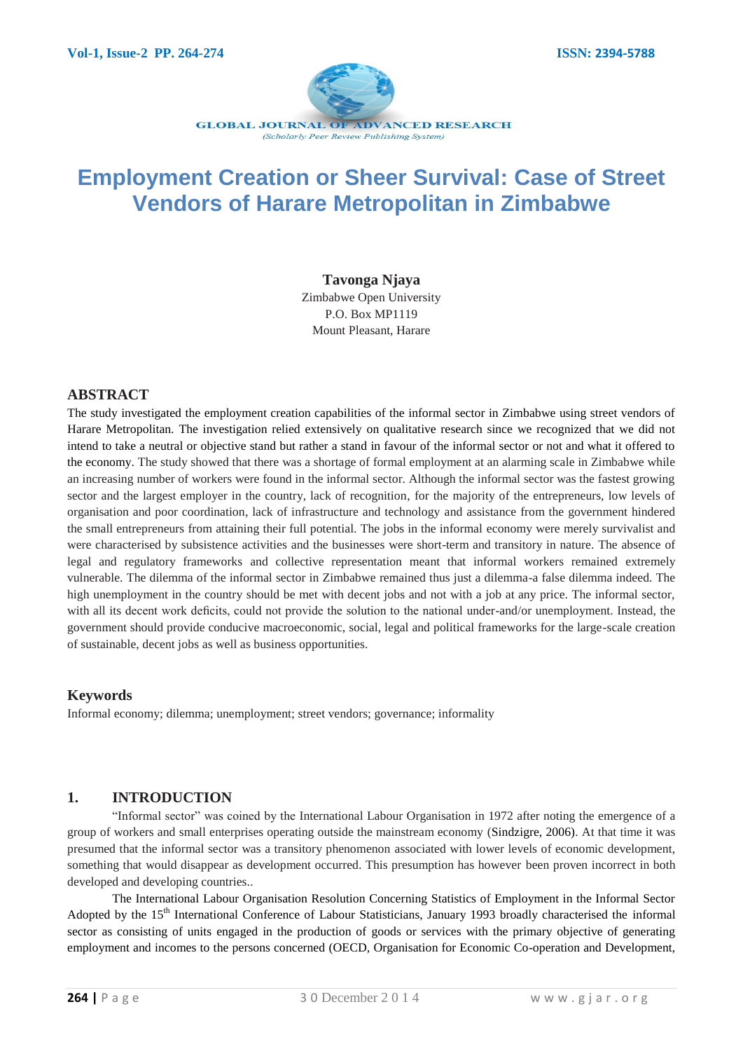

# **Employment Creation or Sheer Survival: Case of Street Vendors of Harare Metropolitan in Zimbabwe**

## **Tavonga Njaya**

Zimbabwe Open University P.O. Box MP1119 Mount Pleasant, Harare

# **ABSTRACT**

The study investigated the employment creation capabilities of the informal sector in Zimbabwe using street vendors of Harare Metropolitan. The investigation relied extensively on qualitative research since we recognized that we did not intend to take a neutral or objective stand but rather a stand in favour of the informal sector or not and what it offered to the economy. The study showed that there was a shortage of formal employment at an alarming scale in Zimbabwe while an increasing number of workers were found in the informal sector. Although the informal sector was the fastest growing sector and the largest employer in the country, lack of recognition, for the majority of the entrepreneurs, low levels of organisation and poor coordination, lack of infrastructure and technology and assistance from the government hindered the small entrepreneurs from attaining their full potential. The jobs in the informal economy were merely survivalist and were characterised by subsistence activities and the businesses were short-term and transitory in nature. The absence of legal and regulatory frameworks and collective representation meant that informal workers remained extremely vulnerable. The dilemma of the informal sector in Zimbabwe remained thus just a dilemma-a false dilemma indeed. The high unemployment in the country should be met with decent jobs and not with a job at any price. The informal sector, with all its decent work deficits, could not provide the solution to the national under-and/or unemployment. Instead, the government should provide conducive macroeconomic, social, legal and political frameworks for the large-scale creation of sustainable, decent jobs as well as business opportunities.

# **Keywords**

Informal economy; dilemma; unemployment; street vendors; governance; informality

# **1. INTRODUCTION**

"Informal sector" was coined by the International Labour Organisation in 1972 after noting the emergence of a group of workers and small enterprises operating outside the mainstream economy (Sindzigre, 2006). At that time it was presumed that the informal sector was a transitory phenomenon associated with lower levels of economic development, something that would disappear as development occurred. This presumption has however been proven incorrect in both developed and developing countries..

The International Labour Organisation Resolution Concerning Statistics of Employment in the Informal Sector Adopted by the  $15<sup>th</sup>$  International Conference of Labour Statisticians, January 1993 broadly characterised the informal sector as consisting of units engaged in the production of goods or services with the primary objective of generating employment and incomes to the persons concerned (OECD, Organisation for Economic Co-operation and Development,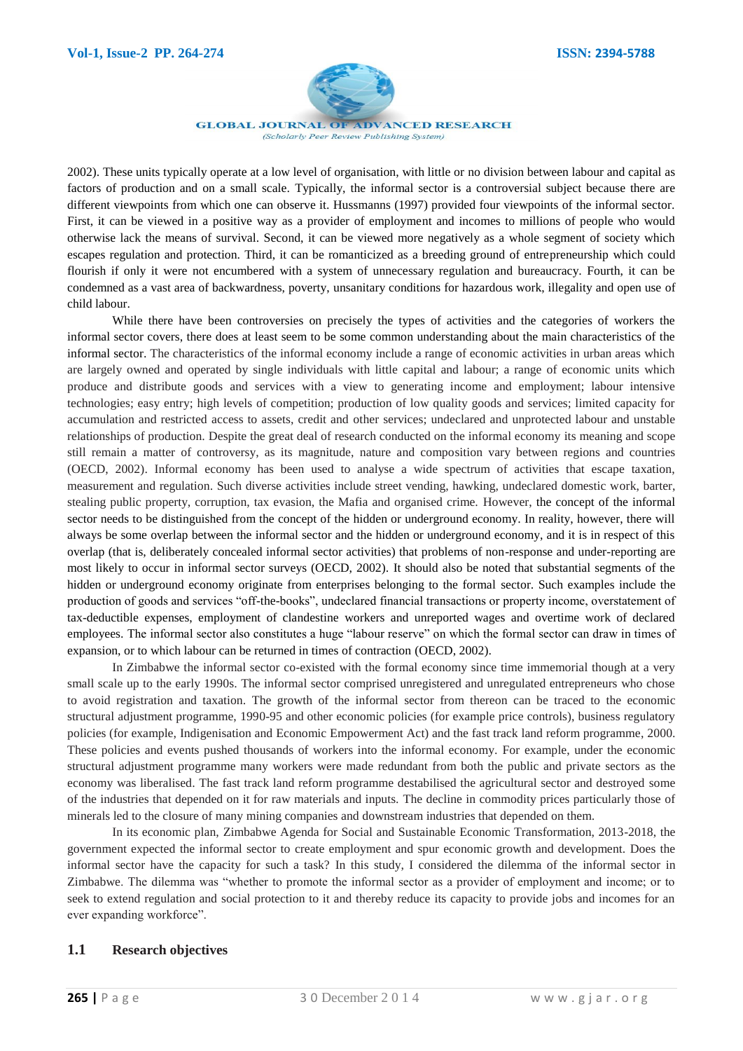

2002). These units typically operate at a low level of organisation, with little or no division between labour and capital as factors of production and on a small scale. Typically, the informal sector is a controversial subject because there are different viewpoints from which one can observe it. Hussmanns (1997) provided four viewpoints of the informal sector. First, it can be viewed in a positive way as a provider of employment and incomes to millions of people who would otherwise lack the means of survival. Second, it can be viewed more negatively as a whole segment of society which escapes regulation and protection. Third, it can be romanticized as a breeding ground of entrepreneurship which could flourish if only it were not encumbered with a system of unnecessary regulation and bureaucracy. Fourth, it can be condemned as a vast area of backwardness, poverty, unsanitary conditions for hazardous work, illegality and open use of child labour.

While there have been controversies on precisely the types of activities and the categories of workers the informal sector covers, there does at least seem to be some common understanding about the main characteristics of the informal sector. The characteristics of the informal economy include a range of economic activities in urban areas which are largely owned and operated by single individuals with little capital and labour; a range of economic units which produce and distribute goods and services with a view to generating income and employment; labour intensive technologies; easy entry; high levels of competition; production of low quality goods and services; limited capacity for accumulation and restricted access to assets, credit and other services; undeclared and unprotected labour and unstable relationships of production. Despite the great deal of research conducted on the informal economy its meaning and scope still remain a matter of controversy, as its magnitude, nature and composition vary between regions and countries (OECD, 2002). Informal economy has been used to analyse a wide spectrum of activities that escape taxation, measurement and regulation. Such diverse activities include street vending, hawking, undeclared domestic work, barter, stealing public property, corruption, tax evasion, the Mafia and organised crime. However, the concept of the informal sector needs to be distinguished from the concept of the hidden or underground economy. In reality, however, there will always be some overlap between the informal sector and the hidden or underground economy, and it is in respect of this overlap (that is, deliberately concealed informal sector activities) that problems of non-response and under-reporting are most likely to occur in informal sector surveys (OECD, 2002). It should also be noted that substantial segments of the hidden or underground economy originate from enterprises belonging to the formal sector. Such examples include the production of goods and services "off-the-books", undeclared financial transactions or property income, overstatement of tax-deductible expenses, employment of clandestine workers and unreported wages and overtime work of declared employees. The informal sector also constitutes a huge "labour reserve" on which the formal sector can draw in times of expansion, or to which labour can be returned in times of contraction (OECD, 2002).

In Zimbabwe the informal sector co-existed with the formal economy since time immemorial though at a very small scale up to the early 1990s. The informal sector comprised unregistered and unregulated entrepreneurs who chose to avoid registration and taxation. The growth of the informal sector from thereon can be traced to the economic structural adjustment programme, 1990-95 and other economic policies (for example price controls), business regulatory policies (for example, Indigenisation and Economic Empowerment Act) and the fast track land reform programme, 2000. These policies and events pushed thousands of workers into the informal economy. For example, under the economic structural adjustment programme many workers were made redundant from both the public and private sectors as the economy was liberalised. The fast track land reform programme destabilised the agricultural sector and destroyed some of the industries that depended on it for raw materials and inputs. The decline in commodity prices particularly those of minerals led to the closure of many mining companies and downstream industries that depended on them.

In its economic plan, Zimbabwe Agenda for Social and Sustainable Economic Transformation, 2013-2018, the government expected the informal sector to create employment and spur economic growth and development. Does the informal sector have the capacity for such a task? In this study, I considered the dilemma of the informal sector in Zimbabwe. The dilemma was "whether to promote the informal sector as a provider of employment and income; or to seek to extend regulation and social protection to it and thereby reduce its capacity to provide jobs and incomes for an ever expanding workforce".

# **1.1 Research objectives**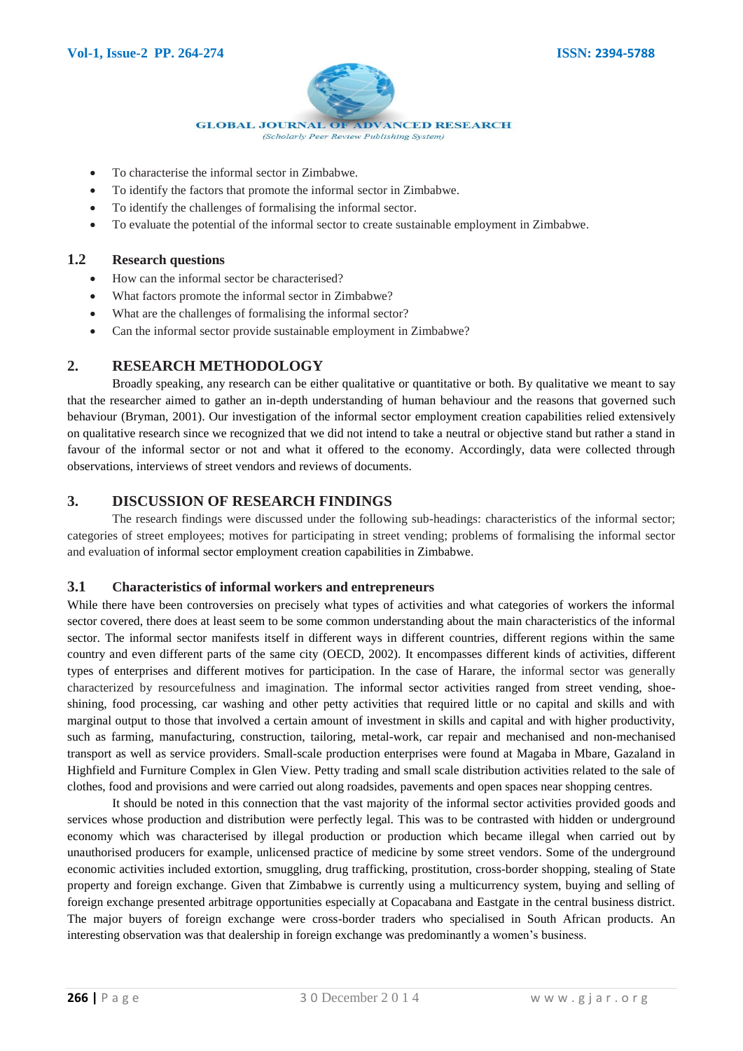

- To characterise the informal sector in Zimbabwe.
- To identify the factors that promote the informal sector in Zimbabwe.
- To identify the challenges of formalising the informal sector.
- To evaluate the potential of the informal sector to create sustainable employment in Zimbabwe.

## **1.2 Research questions**

- How can the informal sector be characterised?
- What factors promote the informal sector in Zimbabwe?
- What are the challenges of formalising the informal sector?
- Can the informal sector provide sustainable employment in Zimbabwe?

# **2. RESEARCH METHODOLOGY**

Broadly speaking, any research can be either qualitative or quantitative or both. By qualitative we meant to say that the researcher aimed to gather an in-depth understanding of human behaviour and the reasons that governed such behaviour (Bryman, 2001). Our investigation of the informal sector employment creation capabilities relied extensively on qualitative research since we recognized that we did not intend to take a neutral or objective stand but rather a stand in favour of the informal sector or not and what it offered to the economy. Accordingly, data were collected through observations, interviews of street vendors and reviews of documents.

# **3. DISCUSSION OF RESEARCH FINDINGS**

The research findings were discussed under the following sub-headings: characteristics of the informal sector; categories of street employees; motives for participating in street vending; problems of formalising the informal sector and evaluation of informal sector employment creation capabilities in Zimbabwe.

#### **3.1 Characteristics of informal workers and entrepreneurs**

While there have been controversies on precisely what types of activities and what categories of workers the informal sector covered, there does at least seem to be some common understanding about the main characteristics of the informal sector. The informal sector manifests itself in different ways in different countries, different regions within the same country and even different parts of the same city (OECD, 2002). It encompasses different kinds of activities, different types of enterprises and different motives for participation. In the case of Harare, the informal sector was generally characterized by resourcefulness and imagination. The informal sector activities ranged from street vending, shoeshining, food processing, car washing and other petty activities that required little or no capital and skills and with marginal output to those that involved a certain amount of investment in skills and capital and with higher productivity, such as farming, manufacturing, construction, tailoring, metal-work, car repair and mechanised and non-mechanised transport as well as service providers. Small-scale production enterprises were found at Magaba in Mbare, Gazaland in Highfield and Furniture Complex in Glen View. Petty trading and small scale distribution activities related to the sale of clothes, food and provisions and were carried out along roadsides, pavements and open spaces near shopping centres.

It should be noted in this connection that the vast majority of the informal sector activities provided goods and services whose production and distribution were perfectly legal. This was to be contrasted with hidden or underground economy which was characterised by illegal production or production which became illegal when carried out by unauthorised producers for example, unlicensed practice of medicine by some street vendors. Some of the underground economic activities included extortion, smuggling, drug trafficking, prostitution, cross-border shopping, stealing of State property and foreign exchange. Given that Zimbabwe is currently using a multicurrency system, buying and selling of foreign exchange presented arbitrage opportunities especially at Copacabana and Eastgate in the central business district. The major buyers of foreign exchange were cross-border traders who specialised in South African products. An interesting observation was that dealership in foreign exchange was predominantly a women's business.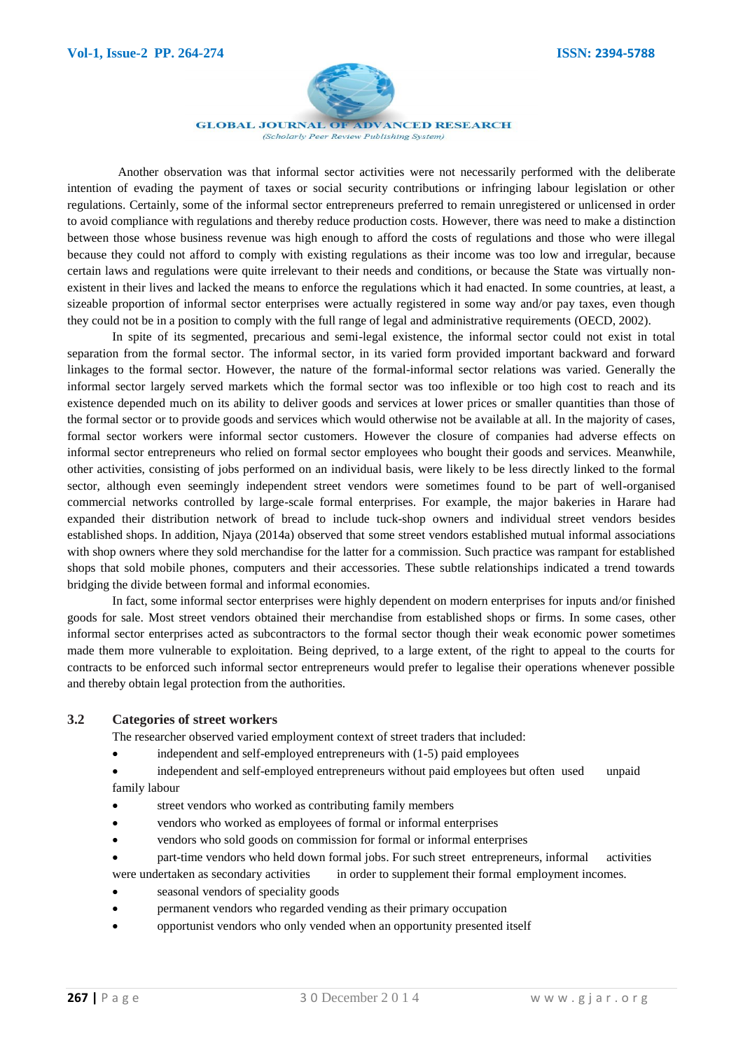

**GLOBAL JOURNAL OF ADVANCED RESEARCH** 

(Scholarly Peer Review Publishing System)

Another observation was that informal sector activities were not necessarily performed with the deliberate intention of evading the payment of taxes or social security contributions or infringing labour legislation or other regulations. Certainly, some of the informal sector entrepreneurs preferred to remain unregistered or unlicensed in order to avoid compliance with regulations and thereby reduce production costs. However, there was need to make a distinction between those whose business revenue was high enough to afford the costs of regulations and those who were illegal because they could not afford to comply with existing regulations as their income was too low and irregular, because certain laws and regulations were quite irrelevant to their needs and conditions, or because the State was virtually nonexistent in their lives and lacked the means to enforce the regulations which it had enacted. In some countries, at least, a sizeable proportion of informal sector enterprises were actually registered in some way and/or pay taxes, even though they could not be in a position to comply with the full range of legal and administrative requirements (OECD, 2002).

In spite of its segmented, precarious and semi-legal existence, the informal sector could not exist in total separation from the formal sector. The informal sector, in its varied form provided important backward and forward linkages to the formal sector. However, the nature of the formal-informal sector relations was varied. Generally the informal sector largely served markets which the formal sector was too inflexible or too high cost to reach and its existence depended much on its ability to deliver goods and services at lower prices or smaller quantities than those of the formal sector or to provide goods and services which would otherwise not be available at all. In the majority of cases, formal sector workers were informal sector customers. However the closure of companies had adverse effects on informal sector entrepreneurs who relied on formal sector employees who bought their goods and services. Meanwhile, other activities, consisting of jobs performed on an individual basis, were likely to be less directly linked to the formal sector, although even seemingly independent street vendors were sometimes found to be part of well-organised commercial networks controlled by large-scale formal enterprises. For example, the major bakeries in Harare had expanded their distribution network of bread to include tuck-shop owners and individual street vendors besides established shops. In addition, Njaya (2014a) observed that some street vendors established mutual informal associations with shop owners where they sold merchandise for the latter for a commission. Such practice was rampant for established shops that sold mobile phones, computers and their accessories. These subtle relationships indicated a trend towards bridging the divide between formal and informal economies.

In fact, some informal sector enterprises were highly dependent on modern enterprises for inputs and/or finished goods for sale. Most street vendors obtained their merchandise from established shops or firms. In some cases, other informal sector enterprises acted as subcontractors to the formal sector though their weak economic power sometimes made them more vulnerable to exploitation. Being deprived, to a large extent, of the right to appeal to the courts for contracts to be enforced such informal sector entrepreneurs would prefer to legalise their operations whenever possible and thereby obtain legal protection from the authorities.

# **3.2 Categories of street workers**

The researcher observed varied employment context of street traders that included:

- independent and self-employed entrepreneurs with (1-5) paid employees
- independent and self-employed entrepreneurs without paid employees but often used unpaid family labour
- street vendors who worked as contributing family members
- vendors who worked as employees of formal or informal enterprises
- vendors who sold goods on commission for formal or informal enterprises
- part-time vendors who held down formal jobs. For such street entrepreneurs, informal activities were undertaken as secondary activities in order to supplement their formal employment incomes.
- seasonal vendors of speciality goods
- permanent vendors who regarded vending as their primary occupation
- opportunist vendors who only vended when an opportunity presented itself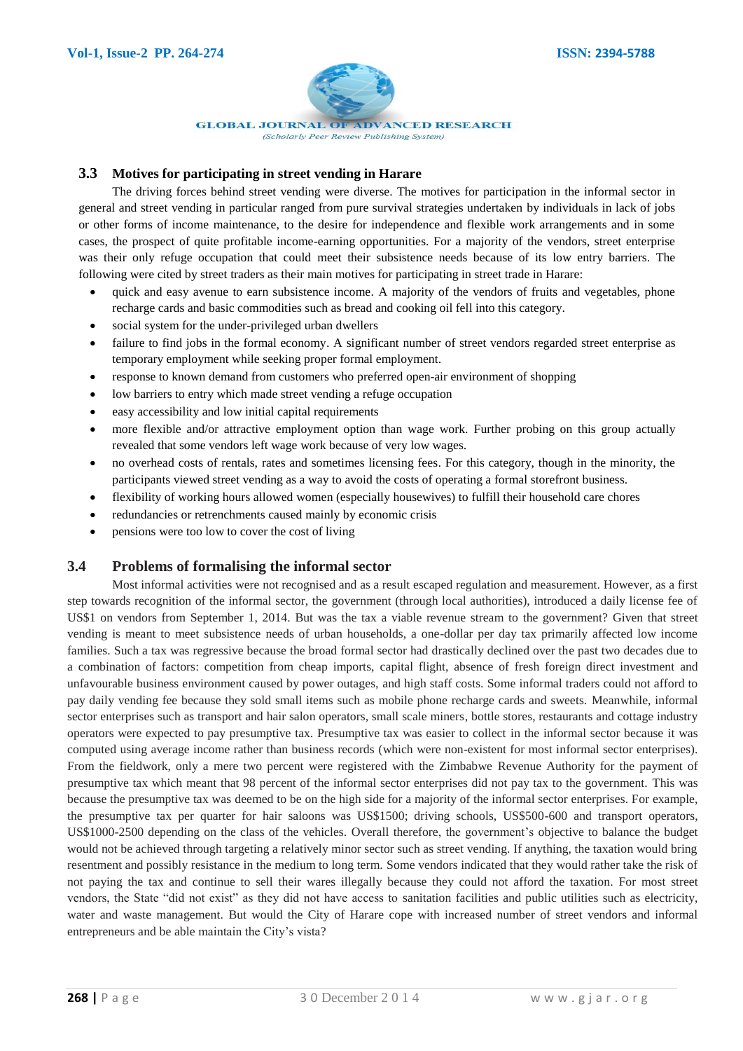

## **3.3 Motives for participating in street vending in Harare**

The driving forces behind street vending were diverse. The motives for participation in the informal sector in general and street vending in particular ranged from pure survival strategies undertaken by individuals in lack of jobs or other forms of income maintenance, to the desire for independence and flexible work arrangements and in some cases, the prospect of quite profitable income-earning opportunities. For a majority of the vendors, street enterprise was their only refuge occupation that could meet their subsistence needs because of its low entry barriers. The following were cited by street traders as their main motives for participating in street trade in Harare:

- quick and easy avenue to earn subsistence income. A majority of the vendors of fruits and vegetables, phone recharge cards and basic commodities such as bread and cooking oil fell into this category.
- social system for the under-privileged urban dwellers
- failure to find jobs in the formal economy. A significant number of street vendors regarded street enterprise as temporary employment while seeking proper formal employment.
- response to known demand from customers who preferred open-air environment of shopping
- low barriers to entry which made street vending a refuge occupation
- easy accessibility and low initial capital requirements
- more flexible and/or attractive employment option than wage work. Further probing on this group actually revealed that some vendors left wage work because of very low wages.
- no overhead costs of rentals, rates and sometimes licensing fees. For this category, though in the minority, the participants viewed street vending as a way to avoid the costs of operating a formal storefront business.
- flexibility of working hours allowed women (especially housewives) to fulfill their household care chores
- redundancies or retrenchments caused mainly by economic crisis
- pensions were too low to cover the cost of living

# **3.4 Problems of formalising the informal sector**

Most informal activities were not recognised and as a result escaped regulation and measurement. However, as a first step towards recognition of the informal sector, the government (through local authorities), introduced a daily license fee of US\$1 on vendors from September 1, 2014. But was the tax a viable revenue stream to the government? Given that street vending is meant to meet subsistence needs of urban households, a one-dollar per day tax primarily affected low income families. Such a tax was regressive because the broad formal sector had drastically declined over the past two decades due to a combination of factors: competition from cheap imports, capital flight, absence of fresh foreign direct investment and unfavourable business environment caused by power outages, and high staff costs. Some informal traders could not afford to pay daily vending fee because they sold small items such as mobile phone recharge cards and sweets. Meanwhile, informal sector enterprises such as transport and hair salon operators, small scale miners, bottle stores, restaurants and cottage industry operators were expected to pay presumptive tax. Presumptive tax was easier to collect in the informal sector because it was computed using average income rather than business records (which were non-existent for most informal sector enterprises). From the fieldwork, only a mere two percent were registered with the Zimbabwe Revenue Authority for the payment of presumptive tax which meant that 98 percent of the informal sector enterprises did not pay tax to the government. This was because the presumptive tax was deemed to be on the high side for a majority of the informal sector enterprises. For example, the presumptive tax per quarter for hair saloons was US\$1500; driving schools, US\$500-600 and transport operators, US\$1000-2500 depending on the class of the vehicles. Overall therefore, the government's objective to balance the budget would not be achieved through targeting a relatively minor sector such as street vending. If anything, the taxation would bring resentment and possibly resistance in the medium to long term. Some vendors indicated that they would rather take the risk of not paying the tax and continue to sell their wares illegally because they could not afford the taxation. For most street vendors, the State "did not exist" as they did not have access to sanitation facilities and public utilities such as electricity, water and waste management. But would the City of Harare cope with increased number of street vendors and informal entrepreneurs and be able maintain the City's vista?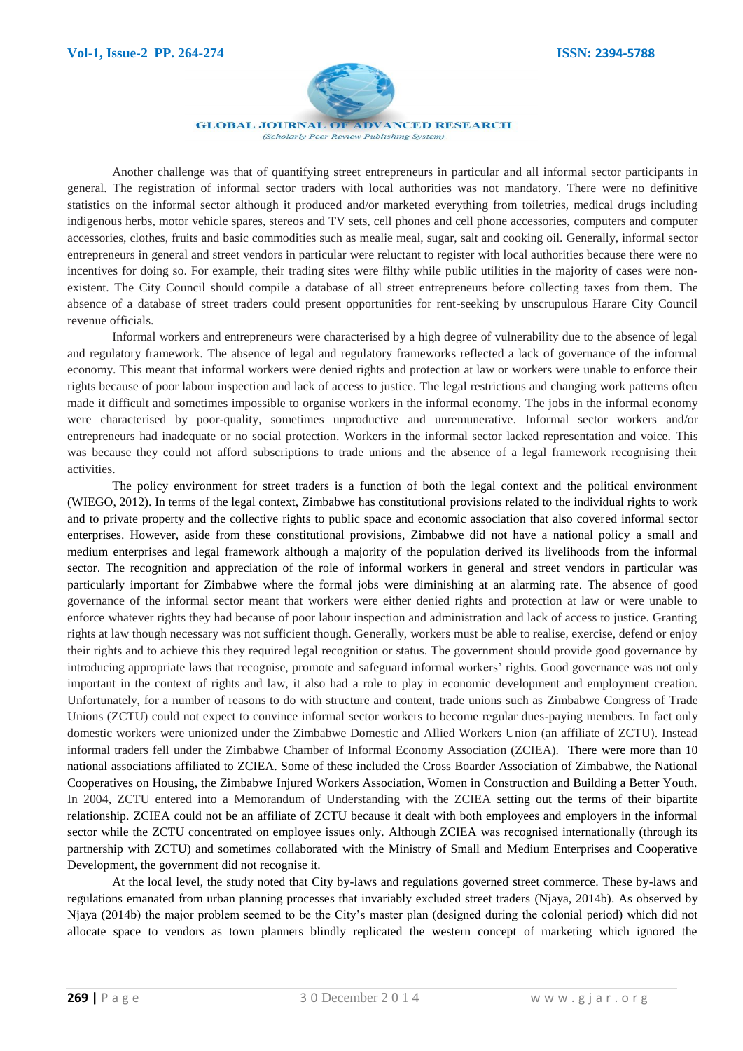

Another challenge was that of quantifying street entrepreneurs in particular and all informal sector participants in general. The registration of informal sector traders with local authorities was not mandatory. There were no definitive statistics on the informal sector although it produced and/or marketed everything from toiletries, medical drugs including indigenous herbs, motor vehicle spares, stereos and TV sets, cell phones and cell phone accessories, computers and computer accessories, clothes, fruits and basic commodities such as mealie meal, sugar, salt and cooking oil. Generally, informal sector entrepreneurs in general and street vendors in particular were reluctant to register with local authorities because there were no incentives for doing so. For example, their trading sites were filthy while public utilities in the majority of cases were nonexistent. The City Council should compile a database of all street entrepreneurs before collecting taxes from them. The absence of a database of street traders could present opportunities for rent-seeking by unscrupulous Harare City Council revenue officials.

Informal workers and entrepreneurs were characterised by a high degree of vulnerability due to the absence of legal and regulatory framework. The absence of legal and regulatory frameworks reflected a lack of governance of the informal economy. This meant that informal workers were denied rights and protection at law or workers were unable to enforce their rights because of poor labour inspection and lack of access to justice. The legal restrictions and changing work patterns often made it difficult and sometimes impossible to organise workers in the informal economy. The jobs in the informal economy were characterised by poor-quality, sometimes unproductive and unremunerative. Informal sector workers and/or entrepreneurs had inadequate or no social protection. Workers in the informal sector lacked representation and voice. This was because they could not afford subscriptions to trade unions and the absence of a legal framework recognising their activities.

The policy environment for street traders is a function of both the legal context and the political environment (WIEGO, 2012). In terms of the legal context, Zimbabwe has constitutional provisions related to the individual rights to work and to private property and the collective rights to public space and economic association that also covered informal sector enterprises. However, aside from these constitutional provisions, Zimbabwe did not have a national policy a small and medium enterprises and legal framework although a majority of the population derived its livelihoods from the informal sector. The recognition and appreciation of the role of informal workers in general and street vendors in particular was particularly important for Zimbabwe where the formal jobs were diminishing at an alarming rate. The absence of good governance of the informal sector meant that workers were either denied rights and protection at law or were unable to enforce whatever rights they had because of poor labour inspection and administration and lack of access to justice. Granting rights at law though necessary was not sufficient though. Generally, workers must be able to realise, exercise, defend or enjoy their rights and to achieve this they required legal recognition or status. The government should provide good governance by introducing appropriate laws that recognise, promote and safeguard informal workers' rights. Good governance was not only important in the context of rights and law, it also had a role to play in economic development and employment creation. Unfortunately, for a number of reasons to do with structure and content, trade unions such as Zimbabwe Congress of Trade Unions (ZCTU) could not expect to convince informal sector workers to become regular dues-paying members. In fact only domestic workers were unionized under the Zimbabwe Domestic and Allied Workers Union (an affiliate of ZCTU). Instead informal traders fell under the Zimbabwe Chamber of Informal Economy Association (ZCIEA). There were more than 10 national associations affiliated to ZCIEA. Some of these included the Cross Boarder Association of Zimbabwe, the National Cooperatives on Housing, the Zimbabwe Injured Workers Association, Women in Construction and Building a Better Youth. In 2004, ZCTU entered into a Memorandum of Understanding with the ZCIEA setting out the terms of their bipartite relationship. ZCIEA could not be an affiliate of ZCTU because it dealt with both employees and employers in the informal sector while the ZCTU concentrated on employee issues only. Although ZCIEA was recognised internationally (through its partnership with ZCTU) and sometimes collaborated with the Ministry of Small and Medium Enterprises and Cooperative Development, the government did not recognise it.

At the local level, the study noted that City by-laws and regulations governed street commerce. These by-laws and regulations emanated from urban planning processes that invariably excluded street traders (Njaya, 2014b). As observed by Njaya (2014b) the major problem seemed to be the City's master plan (designed during the colonial period) which did not allocate space to vendors as town planners blindly replicated the western concept of marketing which ignored the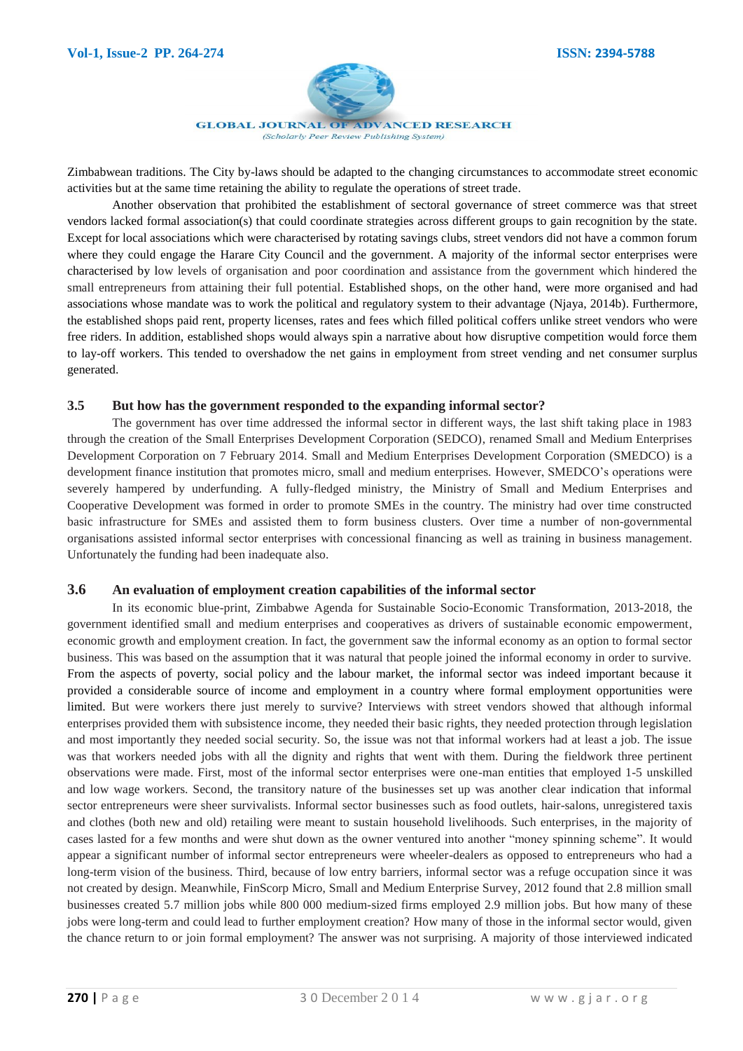

Zimbabwean traditions. The City by-laws should be adapted to the changing circumstances to accommodate street economic activities but at the same time retaining the ability to regulate the operations of street trade.

Another observation that prohibited the establishment of sectoral governance of street commerce was that street vendors lacked formal association(s) that could coordinate strategies across different groups to gain recognition by the state. Except for local associations which were characterised by rotating savings clubs, street vendors did not have a common forum where they could engage the Harare City Council and the government. A majority of the informal sector enterprises were characterised by low levels of organisation and poor coordination and assistance from the government which hindered the small entrepreneurs from attaining their full potential. Established shops, on the other hand, were more organised and had associations whose mandate was to work the political and regulatory system to their advantage (Njaya, 2014b). Furthermore, the established shops paid rent, property licenses, rates and fees which filled political coffers unlike street vendors who were free riders. In addition, established shops would always spin a narrative about how disruptive competition would force them to lay-off workers. This tended to overshadow the net gains in employment from street vending and net consumer surplus generated.

### **3.5 But how has the government responded to the expanding informal sector?**

The government has over time addressed the informal sector in different ways, the last shift taking place in 1983 through the creation of the Small Enterprises Development Corporation (SEDCO), renamed Small and Medium Enterprises Development Corporation on 7 February 2014. Small and Medium Enterprises Development Corporation (SMEDCO) is a development finance institution that promotes micro, small and medium enterprises. However, SMEDCO's operations were severely hampered by underfunding. A fully-fledged ministry, the Ministry of Small and Medium Enterprises and Cooperative Development was formed in order to promote SMEs in the country. The ministry had over time constructed basic infrastructure for SMEs and assisted them to form business clusters. Over time a number of non-governmental organisations assisted informal sector enterprises with concessional financing as well as training in business management. Unfortunately the funding had been inadequate also.

#### **3.6 An evaluation of employment creation capabilities of the informal sector**

In its economic blue-print, Zimbabwe Agenda for Sustainable Socio-Economic Transformation, 2013-2018, the government identified small and medium enterprises and cooperatives as drivers of sustainable economic empowerment, economic growth and employment creation. In fact, the government saw the informal economy as an option to formal sector business. This was based on the assumption that it was natural that people joined the informal economy in order to survive. From the aspects of poverty, social policy and the labour market, the informal sector was indeed important because it provided a considerable source of income and employment in a country where formal employment opportunities were limited. But were workers there just merely to survive? Interviews with street vendors showed that although informal enterprises provided them with subsistence income, they needed their basic rights, they needed protection through legislation and most importantly they needed social security. So, the issue was not that informal workers had at least a job. The issue was that workers needed jobs with all the dignity and rights that went with them. During the fieldwork three pertinent observations were made. First, most of the informal sector enterprises were one-man entities that employed 1-5 unskilled and low wage workers. Second, the transitory nature of the businesses set up was another clear indication that informal sector entrepreneurs were sheer survivalists. Informal sector businesses such as food outlets, hair-salons, unregistered taxis and clothes (both new and old) retailing were meant to sustain household livelihoods. Such enterprises, in the majority of cases lasted for a few months and were shut down as the owner ventured into another "money spinning scheme". It would appear a significant number of informal sector entrepreneurs were wheeler-dealers as opposed to entrepreneurs who had a long-term vision of the business. Third, because of low entry barriers, informal sector was a refuge occupation since it was not created by design. Meanwhile, FinScorp Micro, Small and Medium Enterprise Survey, 2012 found that 2.8 million small businesses created 5.7 million jobs while 800 000 medium-sized firms employed 2.9 million jobs. But how many of these jobs were long-term and could lead to further employment creation? How many of those in the informal sector would, given the chance return to or join formal employment? The answer was not surprising. A majority of those interviewed indicated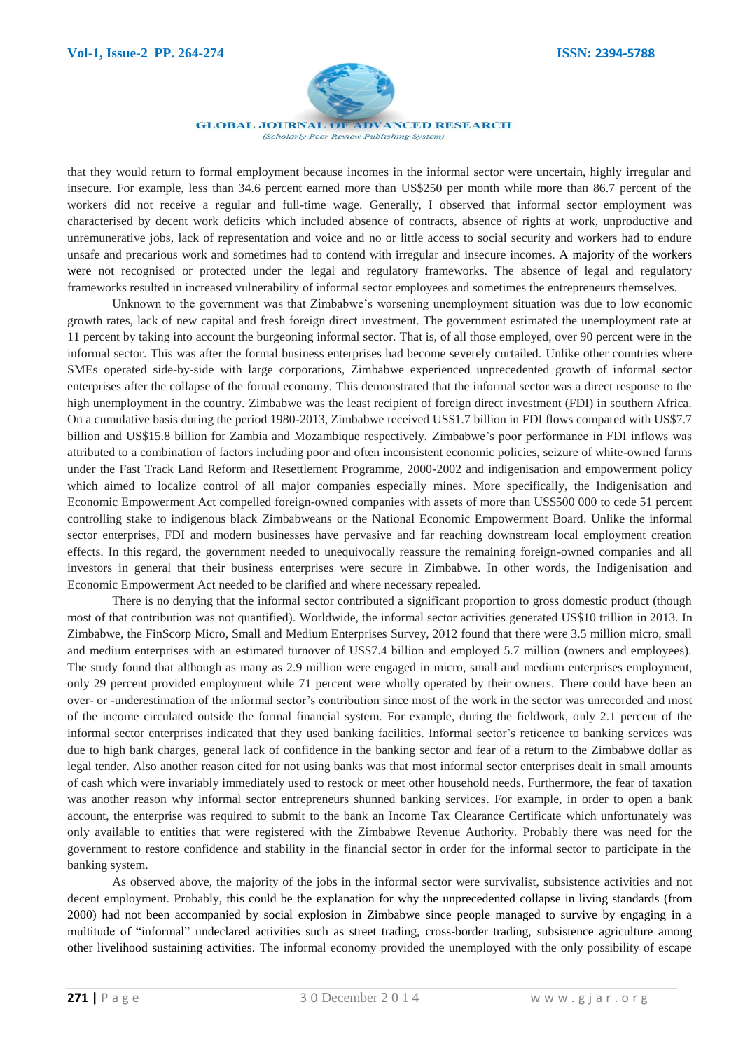

that they would return to formal employment because incomes in the informal sector were uncertain, highly irregular and insecure. For example, less than 34.6 percent earned more than US\$250 per month while more than 86.7 percent of the workers did not receive a regular and full-time wage. Generally, I observed that informal sector employment was characterised by decent work deficits which included absence of contracts, absence of rights at work, unproductive and unremunerative jobs, lack of representation and voice and no or little access to social security and workers had to endure unsafe and precarious work and sometimes had to contend with irregular and insecure incomes. A majority of the workers were not recognised or protected under the legal and regulatory frameworks. The absence of legal and regulatory frameworks resulted in increased vulnerability of informal sector employees and sometimes the entrepreneurs themselves.

Unknown to the government was that Zimbabwe's worsening unemployment situation was due to low economic growth rates, lack of new capital and fresh foreign direct investment. The government estimated the unemployment rate at 11 percent by taking into account the burgeoning informal sector. That is, of all those employed, over 90 percent were in the informal sector. This was after the formal business enterprises had become severely curtailed. Unlike other countries where SMEs operated side-by-side with large corporations, Zimbabwe experienced unprecedented growth of informal sector enterprises after the collapse of the formal economy. This demonstrated that the informal sector was a direct response to the high unemployment in the country. Zimbabwe was the least recipient of foreign direct investment (FDI) in southern Africa. On a cumulative basis during the period 1980-2013, Zimbabwe received US\$1.7 billion in FDI flows compared with US\$7.7 billion and US\$15.8 billion for Zambia and Mozambique respectively. Zimbabwe's poor performance in FDI inflows was attributed to a combination of factors including poor and often inconsistent economic policies, seizure of white-owned farms under the Fast Track Land Reform and Resettlement Programme, 2000-2002 and indigenisation and empowerment policy which aimed to localize control of all major companies especially mines. More specifically, the Indigenisation and Economic Empowerment Act compelled foreign-owned companies with assets of more than US\$500 000 to cede 51 percent controlling stake to indigenous black Zimbabweans or the National Economic Empowerment Board. Unlike the informal sector enterprises, FDI and modern businesses have pervasive and far reaching downstream local employment creation effects. In this regard, the government needed to unequivocally reassure the remaining foreign-owned companies and all investors in general that their business enterprises were secure in Zimbabwe. In other words, the Indigenisation and Economic Empowerment Act needed to be clarified and where necessary repealed.

There is no denying that the informal sector contributed a significant proportion to gross domestic product (though most of that contribution was not quantified). Worldwide, the informal sector activities generated US\$10 trillion in 2013. In Zimbabwe, the FinScorp Micro, Small and Medium Enterprises Survey, 2012 found that there were 3.5 million micro, small and medium enterprises with an estimated turnover of US\$7.4 billion and employed 5.7 million (owners and employees). The study found that although as many as 2.9 million were engaged in micro, small and medium enterprises employment, only 29 percent provided employment while 71 percent were wholly operated by their owners. There could have been an over- or -underestimation of the informal sector's contribution since most of the work in the sector was unrecorded and most of the income circulated outside the formal financial system. For example, during the fieldwork, only 2.1 percent of the informal sector enterprises indicated that they used banking facilities. Informal sector's reticence to banking services was due to high bank charges, general lack of confidence in the banking sector and fear of a return to the Zimbabwe dollar as legal tender. Also another reason cited for not using banks was that most informal sector enterprises dealt in small amounts of cash which were invariably immediately used to restock or meet other household needs. Furthermore, the fear of taxation was another reason why informal sector entrepreneurs shunned banking services. For example, in order to open a bank account, the enterprise was required to submit to the bank an Income Tax Clearance Certificate which unfortunately was only available to entities that were registered with the Zimbabwe Revenue Authority. Probably there was need for the government to restore confidence and stability in the financial sector in order for the informal sector to participate in the banking system.

As observed above, the majority of the jobs in the informal sector were survivalist, subsistence activities and not decent employment. Probably, this could be the explanation for why the unprecedented collapse in living standards (from 2000) had not been accompanied by social explosion in Zimbabwe since people managed to survive by engaging in a multitude of "informal" undeclared activities such as street trading, cross-border trading, subsistence agriculture among other livelihood sustaining activities. The informal economy provided the unemployed with the only possibility of escape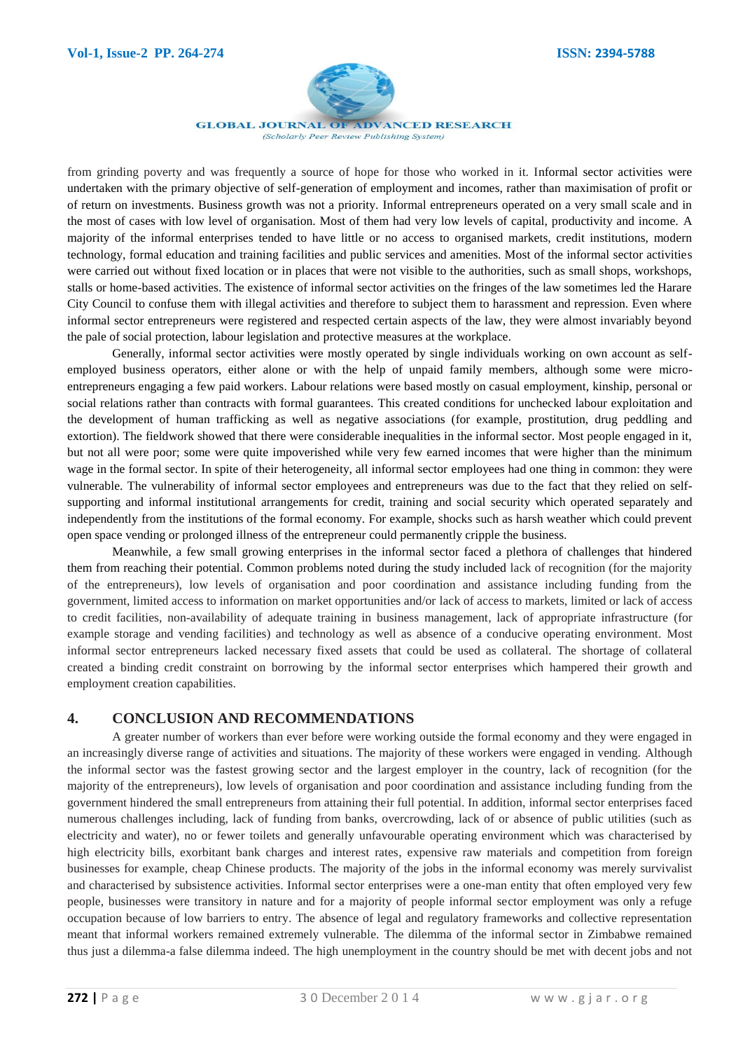

**GLOBAL JOURNAL OF ADVANCED RESEARCH** 

(Scholarly Peer Review Publishing System)

from grinding poverty and was frequently a source of hope for those who worked in it. Informal sector activities were undertaken with the primary objective of self-generation of employment and incomes, rather than maximisation of profit or of return on investments. Business growth was not a priority. Informal entrepreneurs operated on a very small scale and in the most of cases with low level of organisation. Most of them had very low levels of capital, productivity and income. A majority of the informal enterprises tended to have little or no access to organised markets, credit institutions, modern technology, formal education and training facilities and public services and amenities. Most of the informal sector activities were carried out without fixed location or in places that were not visible to the authorities, such as small shops, workshops, stalls or home-based activities. The existence of informal sector activities on the fringes of the law sometimes led the Harare City Council to confuse them with illegal activities and therefore to subject them to harassment and repression. Even where informal sector entrepreneurs were registered and respected certain aspects of the law, they were almost invariably beyond the pale of social protection, labour legislation and protective measures at the workplace.

Generally, informal sector activities were mostly operated by single individuals working on own account as selfemployed business operators, either alone or with the help of unpaid family members, although some were microentrepreneurs engaging a few paid workers. Labour relations were based mostly on casual employment, kinship, personal or social relations rather than contracts with formal guarantees. This created conditions for unchecked labour exploitation and the development of human trafficking as well as negative associations (for example, prostitution, drug peddling and extortion). The fieldwork showed that there were considerable inequalities in the informal sector. Most people engaged in it, but not all were poor; some were quite impoverished while very few earned incomes that were higher than the minimum wage in the formal sector. In spite of their heterogeneity, all informal sector employees had one thing in common: they were vulnerable. The vulnerability of informal sector employees and entrepreneurs was due to the fact that they relied on selfsupporting and informal institutional arrangements for credit, training and social security which operated separately and independently from the institutions of the formal economy. For example, shocks such as harsh weather which could prevent open space vending or prolonged illness of the entrepreneur could permanently cripple the business.

Meanwhile, a few small growing enterprises in the informal sector faced a plethora of challenges that hindered them from reaching their potential. Common problems noted during the study included lack of recognition (for the majority of the entrepreneurs), low levels of organisation and poor coordination and assistance including funding from the government, limited access to information on market opportunities and/or lack of access to markets, limited or lack of access to credit facilities, non-availability of adequate training in business management, lack of appropriate infrastructure (for example storage and vending facilities) and technology as well as absence of a conducive operating environment. Most informal sector entrepreneurs lacked necessary fixed assets that could be used as collateral. The shortage of collateral created a binding credit constraint on borrowing by the informal sector enterprises which hampered their growth and employment creation capabilities.

# **4. CONCLUSION AND RECOMMENDATIONS**

A greater number of workers than ever before were working outside the formal economy and they were engaged in an increasingly diverse range of activities and situations. The majority of these workers were engaged in vending. Although the informal sector was the fastest growing sector and the largest employer in the country, lack of recognition (for the majority of the entrepreneurs), low levels of organisation and poor coordination and assistance including funding from the government hindered the small entrepreneurs from attaining their full potential. In addition, informal sector enterprises faced numerous challenges including, lack of funding from banks, overcrowding, lack of or absence of public utilities (such as electricity and water), no or fewer toilets and generally unfavourable operating environment which was characterised by high electricity bills, exorbitant bank charges and interest rates, expensive raw materials and competition from foreign businesses for example, cheap Chinese products. The majority of the jobs in the informal economy was merely survivalist and characterised by subsistence activities. Informal sector enterprises were a one-man entity that often employed very few people, businesses were transitory in nature and for a majority of people informal sector employment was only a refuge occupation because of low barriers to entry. The absence of legal and regulatory frameworks and collective representation meant that informal workers remained extremely vulnerable. The dilemma of the informal sector in Zimbabwe remained thus just a dilemma-a false dilemma indeed. The high unemployment in the country should be met with decent jobs and not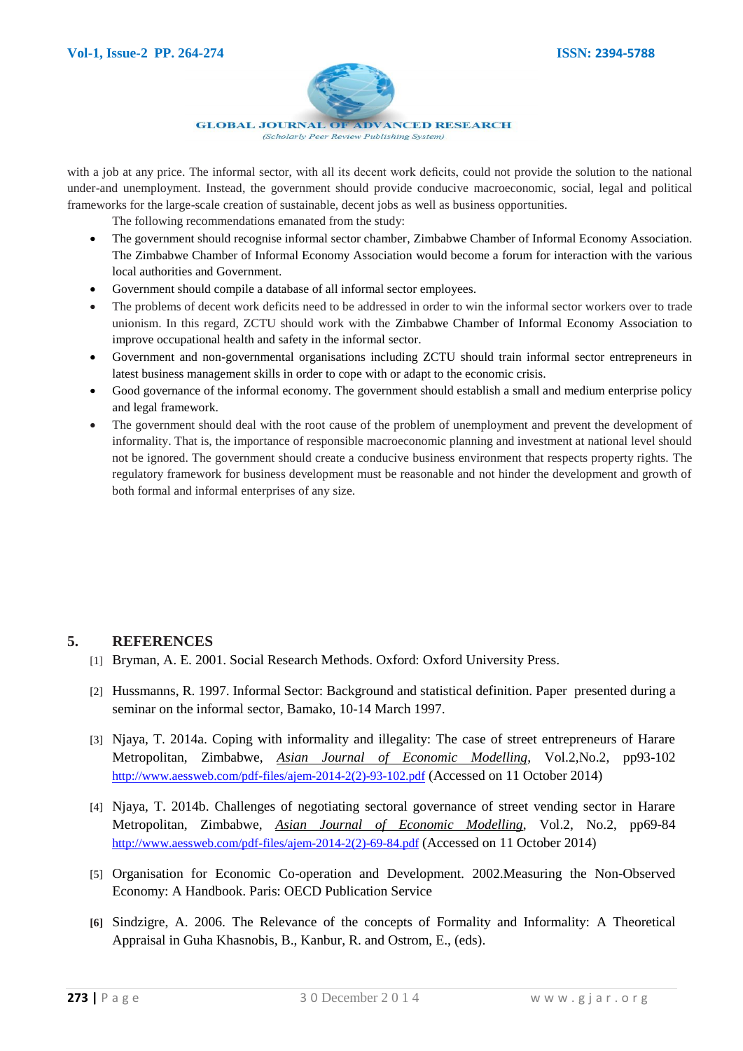

with a job at any price. The informal sector, with all its decent work deficits, could not provide the solution to the national under-and unemployment. Instead, the government should provide conducive macroeconomic, social, legal and political frameworks for the large-scale creation of sustainable, decent jobs as well as business opportunities.

The following recommendations emanated from the study:

- The government should recognise informal sector chamber, Zimbabwe Chamber of Informal Economy Association. The Zimbabwe Chamber of Informal Economy Association would become a forum for interaction with the various local authorities and Government.
- Government should compile a database of all informal sector employees.
- The problems of decent work deficits need to be addressed in order to win the informal sector workers over to trade unionism. In this regard, ZCTU should work with the Zimbabwe Chamber of Informal Economy Association to improve occupational health and safety in the informal sector.
- Government and non-governmental organisations including ZCTU should train informal sector entrepreneurs in latest business management skills in order to cope with or adapt to the economic crisis.
- Good governance of the informal economy. The government should establish a small and medium enterprise policy and legal framework.
- The government should deal with the root cause of the problem of unemployment and prevent the development of informality. That is, the importance of responsible macroeconomic planning and investment at national level should not be ignored. The government should create a conducive business environment that respects property rights. The regulatory framework for business development must be reasonable and not hinder the development and growth of both formal and informal enterprises of any size.

# **5. REFERENCES**

- [1] Bryman, A. E. 2001. Social Research Methods. Oxford: Oxford University Press.
- [2] Hussmanns, R. 1997. Informal Sector: Background and statistical definition. Paper presented during a seminar on the informal sector, Bamako, 10-14 March 1997.
- [3] Njaya, T. 2014a. Coping with informality and illegality: The case of street entrepreneurs of Harare Metropolitan, Zimbabwe, *Asian Journal of Economic Modelling*, Vol.2,No.2, pp93-102 [http://www.aessweb.com/pdf-files/ajem-2014-2\(2\)-93-102.pdf](http://www.aessweb.com/pdf-files/ajem-2014-2(2)-93-102.pdf) (Accessed on 11 October 2014)
- [4] Njaya, T. 2014b. Challenges of negotiating sectoral governance of street vending sector in Harare Metropolitan, Zimbabwe, *Asian Journal of Economic Modelling*, Vol.2, No.2, pp69-84 [http://www.aessweb.com/pdf-files/ajem-2014-2\(2\)-69-84.pdf](http://www.aessweb.com/pdf-files/ajem-2014-2(2)-69-84.pdf) (Accessed on 11 October 2014)
- [5] Organisation for Economic Co-operation and Development. 2002.Measuring the Non-Observed Economy: A Handbook. Paris: OECD Publication Service
- **[6]** Sindzigre, A. 2006. The Relevance of the concepts of Formality and Informality: A Theoretical Appraisal in Guha Khasnobis, B., Kanbur, R. and Ostrom, E., (eds).